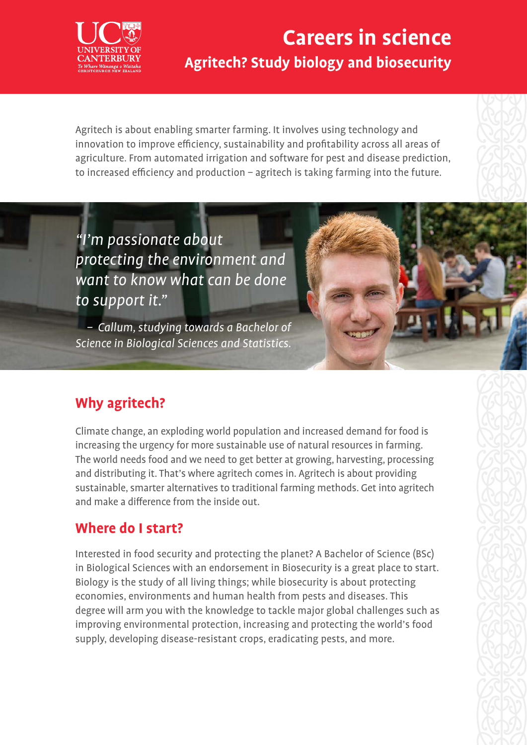

## **Careers in science Agritech? Study biology and biosecurity**

Agritech is about enabling smarter farming. It involves using technology and innovation to improve efficiency, sustainability and profitability across all areas of agriculture. From automated irrigation and software for pest and disease prediction, to increased efficiency and production – agritech is taking farming into the future.

"I'm passionate about protecting the environment and want to know what can be done to support it."

– Callum, studying towards a Bachelor of Science in Biological Sciences and Statistics.

### **Why agritech?**

Climate change, an exploding world population and increased demand for food is increasing the urgency for more sustainable use of natural resources in farming. The world needs food and we need to get better at growing, harvesting, processing and distributing it. That's where agritech comes in. Agritech is about providing sustainable, smarter alternatives to traditional farming methods. Get into agritech and make a difference from the inside out.

### **Where do I start?**

Interested in food security and protecting the planet? A Bachelor of Science (BSc) in Biological Sciences with an endorsement in Biosecurity is a great place to start. Biology is the study of all living things; while biosecurity is about protecting economies, environments and human health from pests and diseases. This degree will arm you with the knowledge to tackle major global challenges such as improving environmental protection, increasing and protecting the world's food supply, developing disease-resistant crops, eradicating pests, and more.